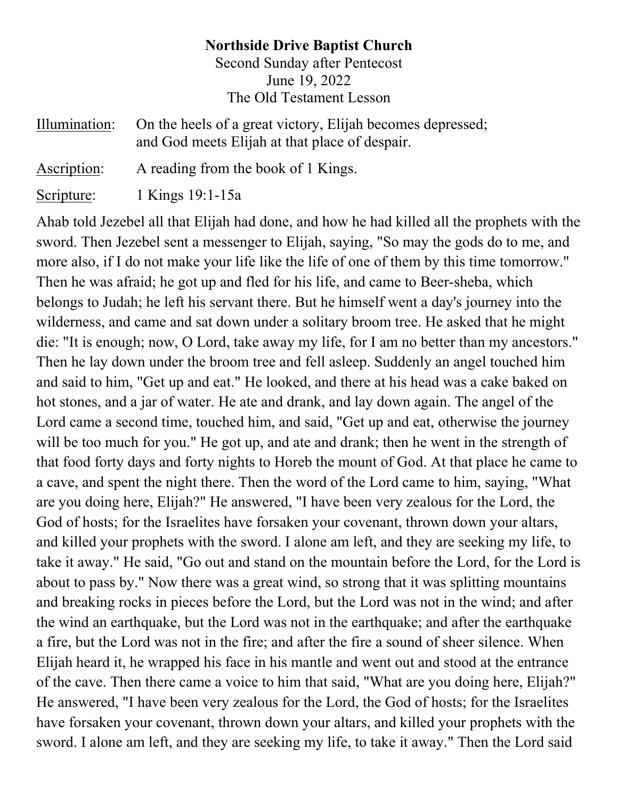## **Northside Drive Baptist Church** Second Sunday after Pentecost June 19, 2022 The Old Testament Lesson

| Illumination: | On the heels of a great victory, Elijah becomes depressed;<br>and God meets Elijah at that place of despair. |
|---------------|--------------------------------------------------------------------------------------------------------------|
| Ascription:   | A reading from the book of 1 Kings.                                                                          |
| Scripture:    | 1 Kings 19:1-15a                                                                                             |

Ahab told Jezebel all that Elijah had done, and how he had killed all the prophets with the sword. Then Jezebel sent a messenger to Elijah, saying, "So may the gods do to me, and more also, if I do not make your life like the life of one of them by this time tomorrow." Then he was afraid; he got up and fled for his life, and came to Beer-sheba, which belongs to Judah; he left his servant there. But he himself went a day's journey into the wilderness, and came and sat down under a solitary broom tree. He asked that he might die: "It is enough; now, O Lord, take away my life, for I am no better than my ancestors." Then he lay down under the broom tree and fell asleep. Suddenly an angel touched him and said to him, "Get up and eat." He looked, and there at his head was a cake baked on hot stones, and a jar of water. He ate and drank, and lay down again. The angel of the Lord came a second time, touched him, and said, "Get up and eat, otherwise the journey will be too much for you." He got up, and ate and drank; then he went in the strength of that food forty days and forty nights to Horeb the mount of God. At that place he came to a cave, and spent the night there. Then the word of the Lord came to him, saying, "What are you doing here, Elijah?" He answered, "I have been very zealous for the Lord, the God of hosts; for the Israelites have forsaken your covenant, thrown down your altars, and killed your prophets with the sword. I alone am left, and they are seeking my life, to take it away." He said, "Go out and stand on the mountain before the Lord, for the Lord is about to pass by." Now there was a great wind, so strong that it was splitting mountains and breaking rocks in pieces before the Lord, but the Lord was not in the wind; and after the wind an earthquake, but the Lord was not in the earthquake; and after the earthquake a fire, but the Lord was not in the fire; and after the fire a sound of sheer silence. When Elijah heard it, he wrapped his face in his mantle and went out and stood at the entrance of the cave. Then there came a voice to him that said, "What are you doing here, Elijah?" He answered, "I have been very zealous for the Lord, the God of hosts; for the Israelites have forsaken your covenant, thrown down your altars, and killed your prophets with the sword. I alone am left, and they are seeking my life, to take it away." Then the Lord said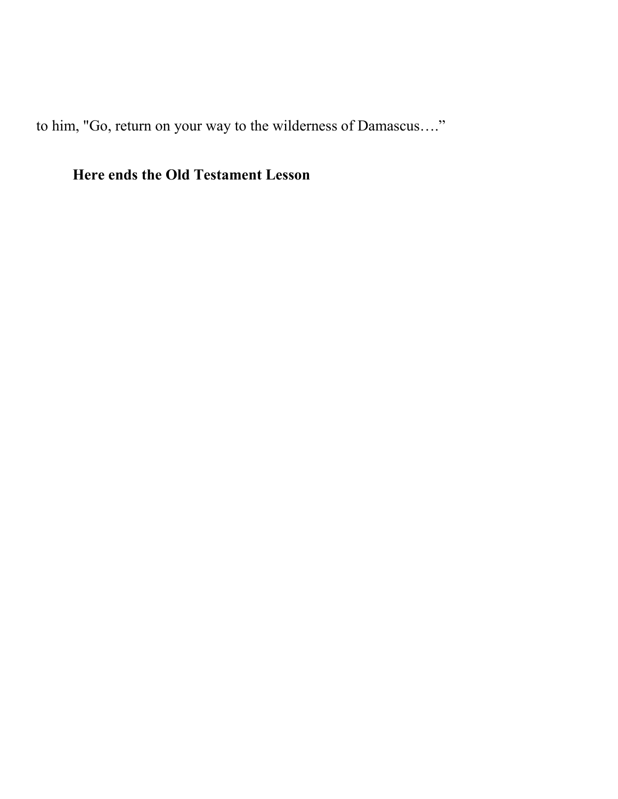to him, "Go, return on your way to the wilderness of Damascus…."

# **Here ends the Old Testament Lesson**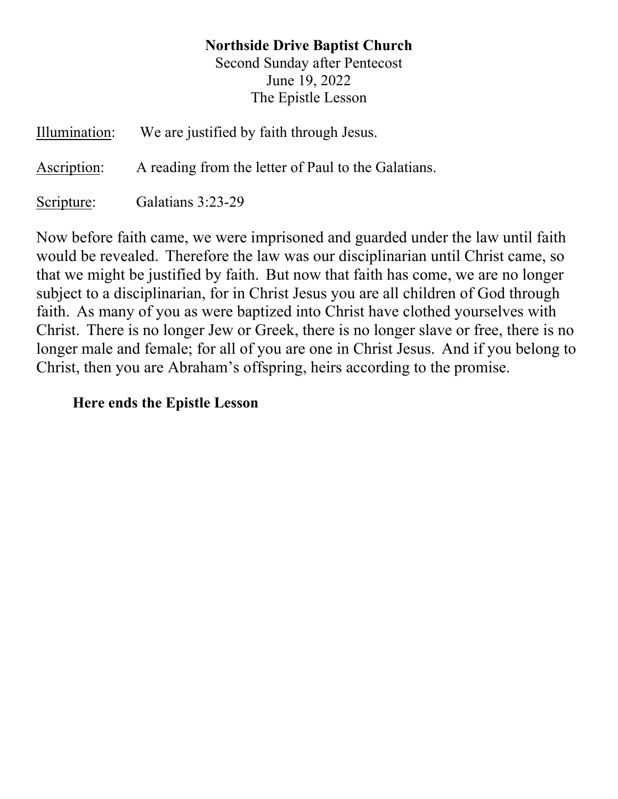## **Northside Drive Baptist Church**

Second Sunday after Pentecost June 19, 2022 The Epistle Lesson

| Illumination: | We are justified by faith through Jesus.            |
|---------------|-----------------------------------------------------|
| Ascription:   | A reading from the letter of Paul to the Galatians. |
| Scripture:    | Galatians 3:23-29                                   |

Now before faith came, we were imprisoned and guarded under the law until faith would be revealed. Therefore the law was our disciplinarian until Christ came, so that we might be justified by faith. But now that faith has come, we are no longer subject to a disciplinarian, for in Christ Jesus you are all children of God through faith. As many of you as were baptized into Christ have clothed yourselves with Christ. There is no longer Jew or Greek, there is no longer slave or free, there is no longer male and female; for all of you are one in Christ Jesus. And if you belong to Christ, then you are Abraham's offspring, heirs according to the promise.

#### **Here ends the Epistle Lesson**